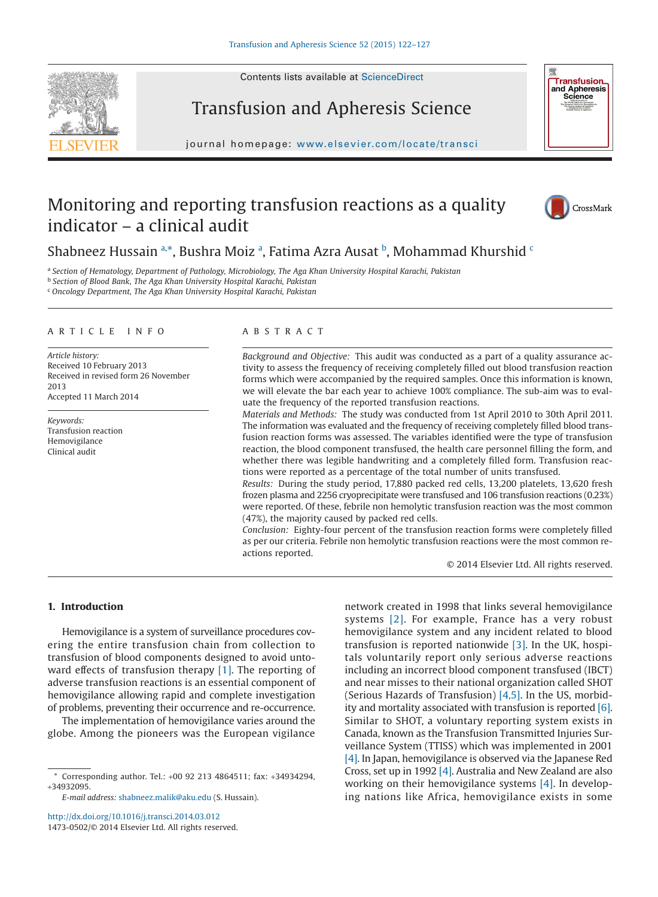Contents lists available at [ScienceDirect](http://www.sciencedirect.com/science/journal/01678809)

# Transfusion and Apheresis Science

journal homepage: [www.elsevier.com/locate/transci](http://www.elsevier.com/locate/transci)

## Monitoring and reporting transfusion reactions as a quality indicator – a clinical audit



**Transfusion** and Apheresis<br>Science

## Sh[a](#page-0-0)[b](#page-0-2)neez Hussain a $\ast$ , Bushra Moiz [a,](#page-0-0) Fatima Azra Ausat b, Mohammad Khurshid  $^{\rm c}$  $^{\rm c}$  $^{\rm c}$

<span id="page-0-0"></span><sup>a</sup> *Section of Hematology, Department of Pathology, Microbiology, The Aga Khan University Hospital Karachi, Pakistan*

<span id="page-0-2"></span><sup>b</sup> *Section of Blood Bank, The Aga Khan University Hospital Karachi, Pakistan*

<span id="page-0-3"></span><sup>c</sup> *Oncology Department, The Aga Khan University Hospital Karachi, Pakistan*

## ARTICLE INFO

*Article history:* Received 10 February 2013 Received in revised form 26 November 2013 Accepted 11 March 2014

*Keywords:* Transfusion reaction Hemovigilance Clinical audit

## ABSTRACT

*Background and Objective:* This audit was conducted as a part of a quality assurance activity to assess the frequency of receiving completely filled out blood transfusion reaction forms which were accompanied by the required samples. Once this information is known, we will elevate the bar each year to achieve 100% compliance. The sub-aim was to evaluate the frequency of the reported transfusion reactions.

*Materials and Methods:* The study was conducted from 1st April 2010 to 30th April 2011. The information was evaluated and the frequency of receiving completely filled blood transfusion reaction forms was assessed. The variables identified were the type of transfusion reaction, the blood component transfused, the health care personnel filling the form, and whether there was legible handwriting and a completely filled form. Transfusion reactions were reported as a percentage of the total number of units transfused.

*Results:* During the study period, 17,880 packed red cells, 13,200 platelets, 13,620 fresh frozen plasma and 2256 cryoprecipitate were transfused and 106 transfusion reactions (0.23%) were reported. Of these, febrile non hemolytic transfusion reaction was the most common (47%), the majority caused by packed red cells.

*Conclusion:* Eighty-four percent of the transfusion reaction forms were completely filled as per our criteria. Febrile non hemolytic transfusion reactions were the most common reactions reported.

© 2014 Elsevier Ltd. All rights reserved.

#### **1. Introduction**

Hemovigilance is a system of surveillance procedures covering the entire transfusion chain from collection to transfusion of blood components designed to avoid untoward effects of transfusion therapy [\[1\].](#page-5-0) The reporting of adverse transfusion reactions is an essential component of hemovigilance allowing rapid and complete investigation of problems, preventing their occurrence and re-occurrence.

The implementation of hemovigilance varies around the globe. Among the pioneers was the European vigilance

*E-mail address:* [shabneez.malik@aku.edu](mailto:shabneez.malik@aku.edu) (S. Hussain).

http://dx.doi.org/10.1016/j.transci.2014.03.012 1473-0502/© 2014 Elsevier Ltd. All rights reserved. network created in 1998 that links several hemovigilance systems [\[2\].](#page-5-1) For example, France has a very robust hemovigilance system and any incident related to blood transfusion is reported nationwide [\[3\].](#page-5-2) In the UK, hospitals voluntarily report only serious adverse reactions including an incorrect blood component transfused (IBCT) and near misses to their national organization called SHOT (Serious Hazards of Transfusion) [\[4,5\].](#page-5-3) In the US, morbidity and mortality associated with transfusion is reported [\[6\].](#page-5-4) Similar to SHOT, a voluntary reporting system exists in Canada, known as the Transfusion Transmitted Injuries Surveillance System (TTISS) which was implemented in 2001 [\[4\].](#page-5-3) In Japan, hemovigilance is observed via the Japanese Red Cross, set up in 1992 [\[4\].](#page-5-3) Australia and New Zealand are also working on their hemovigilance systems [\[4\].](#page-5-3) In developing nations like Africa, hemovigilance exists in some



<span id="page-0-1"></span><sup>\*</sup> Corresponding author. Tel.: +00 92 213 4864511; fax: +34934294, +34932095.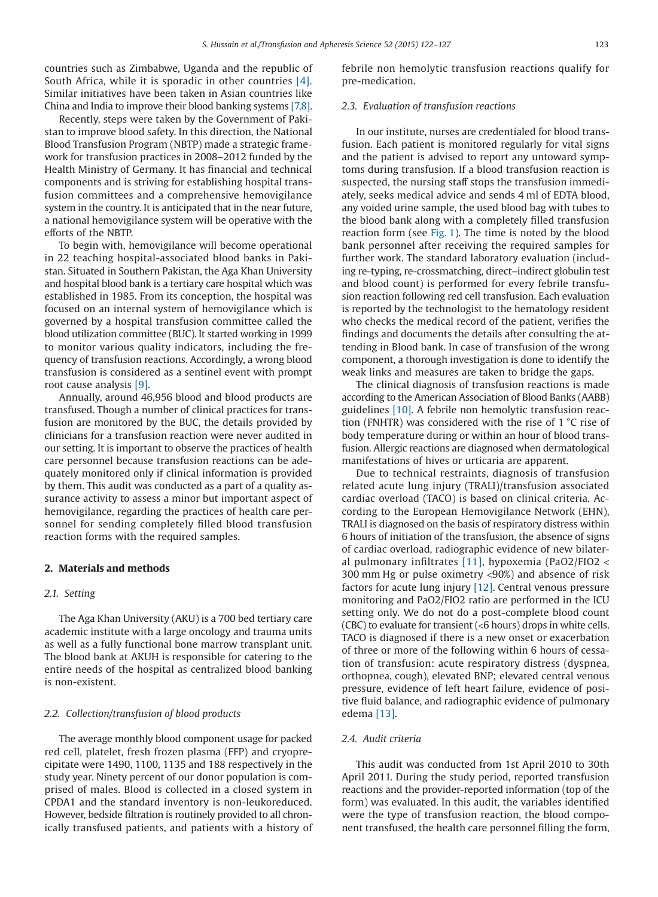countries such as Zimbabwe, Uganda and the republic of South Africa, while it is sporadic in other countries [\[4\].](#page-5-3) Similar initiatives have been taken in Asian countries like China and India to improve their blood banking systems [\[7,8\].](#page-5-5)

Recently, steps were taken by the Government of Pakistan to improve blood safety. In this direction, the National Blood Transfusion Program (NBTP) made a strategic framework for transfusion practices in 2008–2012 funded by the Health Ministry of Germany. It has financial and technical components and is striving for establishing hospital transfusion committees and a comprehensive hemovigilance system in the country. It is anticipated that in the near future, a national hemovigilance system will be operative with the efforts of the NBTP.

To begin with, hemovigilance will become operational in 22 teaching hospital-associated blood banks in Pakistan. Situated in Southern Pakistan, the Aga Khan University and hospital blood bank is a tertiary care hospital which was established in 1985. From its conception, the hospital was focused on an internal system of hemovigilance which is governed by a hospital transfusion committee called the blood utilization committee (BUC). It started working in 1999 to monitor various quality indicators, including the frequency of transfusion reactions. Accordingly, a wrong blood transfusion is considered as a sentinel event with prompt root cause analysis [\[9\].](#page-5-6)

Annually, around 46,956 blood and blood products are transfused. Though a number of clinical practices for transfusion are monitored by the BUC, the details provided by clinicians for a transfusion reaction were never audited in our setting. It is important to observe the practices of health care personnel because transfusion reactions can be adequately monitored only if clinical information is provided by them. This audit was conducted as a part of a quality assurance activity to assess a minor but important aspect of hemovigilance, regarding the practices of health care personnel for sending completely filled blood transfusion reaction forms with the required samples.

## **2. Materials and methods**

#### *2.1. Setting*

The Aga Khan University (AKU) is a 700 bed tertiary care academic institute with a large oncology and trauma units as well as a fully functional bone marrow transplant unit. The blood bank at AKUH is responsible for catering to the entire needs of the hospital as centralized blood banking is non-existent.

#### *2.2. Collection/transfusion of blood products*

The average monthly blood component usage for packed red cell, platelet, fresh frozen plasma (FFP) and cryoprecipitate were 1490, 1100, 1135 and 188 respectively in the study year. Ninety percent of our donor population is comprised of males. Blood is collected in a closed system in CPDA1 and the standard inventory is non-leukoreduced. However, bedside filtration is routinely provided to all chronically transfused patients, and patients with a history of febrile non hemolytic transfusion reactions qualify for pre-medication.

## *2.3. Evaluation of transfusion reactions*

In our institute, nurses are credentialed for blood transfusion. Each patient is monitored regularly for vital signs and the patient is advised to report any untoward symptoms during transfusion. If a blood transfusion reaction is suspected, the nursing staff stops the transfusion immediately, seeks medical advice and sends 4 ml of EDTA blood, any voided urine sample, the used blood bag with tubes to the blood bank along with a completely filled transfusion reaction form (see [Fig. 1\)](#page-2-0). The time is noted by the blood bank personnel after receiving the required samples for further work. The standard laboratory evaluation (including re-typing, re-crossmatching, direct–indirect globulin test and blood count) is performed for every febrile transfusion reaction following red cell transfusion. Each evaluation is reported by the technologist to the hematology resident who checks the medical record of the patient, verifies the findings and documents the details after consulting the attending in Blood bank. In case of transfusion of the wrong component, a thorough investigation is done to identify the weak links and measures are taken to bridge the gaps.

The clinical diagnosis of transfusion reactions is made according to the American Association of Blood Banks (AABB) guidelines [\[10\].](#page-5-7) A febrile non hemolytic transfusion reaction (FNHTR) was considered with the rise of 1 °C rise of body temperature during or within an hour of blood transfusion. Allergic reactions are diagnosed when dermatological manifestations of hives or urticaria are apparent.

Due to technical restraints, diagnosis of transfusion related acute lung injury (TRALI)/transfusion associated cardiac overload (TACO) is based on clinical criteria. According to the European Hemovigilance Network (EHN), TRALI is diagnosed on the basis of respiratory distress within 6 hours of initiation of the transfusion, the absence of signs of cardiac overload, radiographic evidence of new bilateral pulmonary infiltrates [\[11\],](#page-5-8) hypoxemia (PaO2/FIO2 < 300 mm Hg or pulse oximetry <90%) and absence of risk factors for acute lung injury [\[12\].](#page-5-9) Central venous pressure monitoring and PaO2/FIO2 ratio are performed in the ICU setting only. We do not do a post-complete blood count (CBC) to evaluate for transient (<6 hours) drops in white cells. TACO is diagnosed if there is a new onset or exacerbation of three or more of the following within 6 hours of cessation of transfusion: acute respiratory distress (dyspnea, orthopnea, cough), elevated BNP; elevated central venous pressure, evidence of left heart failure, evidence of positive fluid balance, and radiographic evidence of pulmonary edema [\[13\].](#page-5-10)

## *2.4. Audit criteria*

This audit was conducted from 1st April 2010 to 30th April 2011. During the study period, reported transfusion reactions and the provider-reported information (top of the form) was evaluated. In this audit, the variables identified were the type of transfusion reaction, the blood component transfused, the health care personnel filling the form,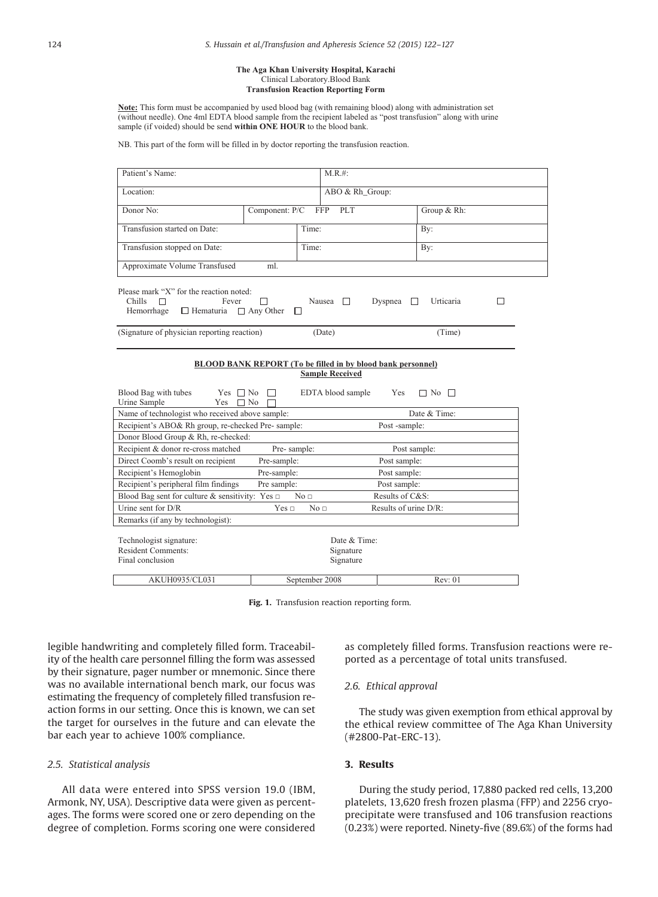#### **The Aga Khan University Hospital, Karachi** Clinical Laboratory.Blood Bank **Transfusion Reaction Reporting Form**

<span id="page-2-0"></span>**Note:** This form must be accompanied by used blood bag (with remaining blood) along with administration set (without needle). One 4ml EDTA blood sample from the recipient labeled as "post transfusion" along with urine sample (if voided) should be send **within ONE HOUR** to the blood bank.

NB. This part of the form will be filled in by doctor reporting the transfusion reaction.

|                                                                                                                                                                                       |                    |                 | M.R.#                   |                     |  |  |  |
|---------------------------------------------------------------------------------------------------------------------------------------------------------------------------------------|--------------------|-----------------|-------------------------|---------------------|--|--|--|
| Location:                                                                                                                                                                             |                    |                 | ABO & Rh_Group:         |                     |  |  |  |
| Donor No:                                                                                                                                                                             | Component: P/C FFP |                 | PLT                     | Group & Rh:         |  |  |  |
| Transfusion started on Date:                                                                                                                                                          |                    | Time:           |                         | By:                 |  |  |  |
| Transfusion stopped on Date:                                                                                                                                                          |                    |                 | Time:                   | By:                 |  |  |  |
| Approximate Volume Transfused                                                                                                                                                         | ml.                |                 |                         |                     |  |  |  |
| Please mark "X" for the reaction noted:<br>Chills<br>Fever<br>п<br>$\Box$ Hematuria $\Box$ Any Other<br>Hemorrhage                                                                    | П<br>$\Box$        |                 | Nausea<br>Dyspnea<br>FΙ | Urticaria<br>П<br>П |  |  |  |
| (Signature of physician reporting reaction)                                                                                                                                           |                    |                 | (Date)                  | (Time)              |  |  |  |
| <b>BLOOD BANK REPORT (To be filled in by blood bank personnel)</b><br><b>Sample Received</b><br>Blood Bag with tubes<br>Yes $\Box$ No<br>EDTA blood sample<br>Yes<br>$\Box$ No $\Box$ |                    |                 |                         |                     |  |  |  |
| Urine Sample<br>Yes $\Box$ No                                                                                                                                                         |                    |                 |                         |                     |  |  |  |
| Name of technologist who received above sample:                                                                                                                                       |                    |                 |                         | Date & Time:        |  |  |  |
| Recipient's ABO& Rh group, re-checked Pre-sample:                                                                                                                                     |                    |                 | Post-sample:            |                     |  |  |  |
| Donor Blood Group & Rh, re-checked:                                                                                                                                                   |                    |                 |                         |                     |  |  |  |
| Recipient & donor re-cross matched                                                                                                                                                    | Pre-sample:        |                 |                         | Post sample:        |  |  |  |
| Direct Coomb's result on recipient                                                                                                                                                    | Pre-sample:        |                 | Post sample:            |                     |  |  |  |
| Recipient's Hemoglobin                                                                                                                                                                | Pre-sample:        |                 | Post sample:            |                     |  |  |  |
| Recipient's peripheral film findings                                                                                                                                                  | Pre sample:        |                 | Post sample:            |                     |  |  |  |
| Blood Bag sent for culture & sensitivity: Yes $\Box$                                                                                                                                  | No <sub>1</sub>    |                 | Results of C&S:         |                     |  |  |  |
| Urine sent for D/R                                                                                                                                                                    | Yes $\Box$         | No <sub>1</sub> | Results of urine D/R:   |                     |  |  |  |
| Remarks (if any by technologist):                                                                                                                                                     |                    |                 |                         |                     |  |  |  |

**Fig. 1.** Transfusion reaction reporting form.

AKUH0935/CL031 September 2008 Rev: 01

legible handwriting and completely filled form. Traceability of the health care personnel filling the form was assessed by their signature, pager number or mnemonic. Since there was no available international bench mark, our focus was estimating the frequency of completely filled transfusion reaction forms in our setting. Once this is known, we can set the target for ourselves in the future and can elevate the bar each year to achieve 100% compliance.

## *2.5. Statistical analysis*

All data were entered into SPSS version 19.0 (IBM, Armonk, NY, USA). Descriptive data were given as percentages. The forms were scored one or zero depending on the degree of completion. Forms scoring one were considered

as completely filled forms. Transfusion reactions were reported as a percentage of total units transfused.

#### *2.6. Ethical approval*

The study was given exemption from ethical approval by the ethical review committee of The Aga Khan University (#2800-Pat-ERC-13).

## **3. Results**

During the study period, 17,880 packed red cells, 13,200 platelets, 13,620 fresh frozen plasma (FFP) and 2256 cryoprecipitate were transfused and 106 transfusion reactions (0.23%) were reported. Ninety-five (89.6%) of the forms had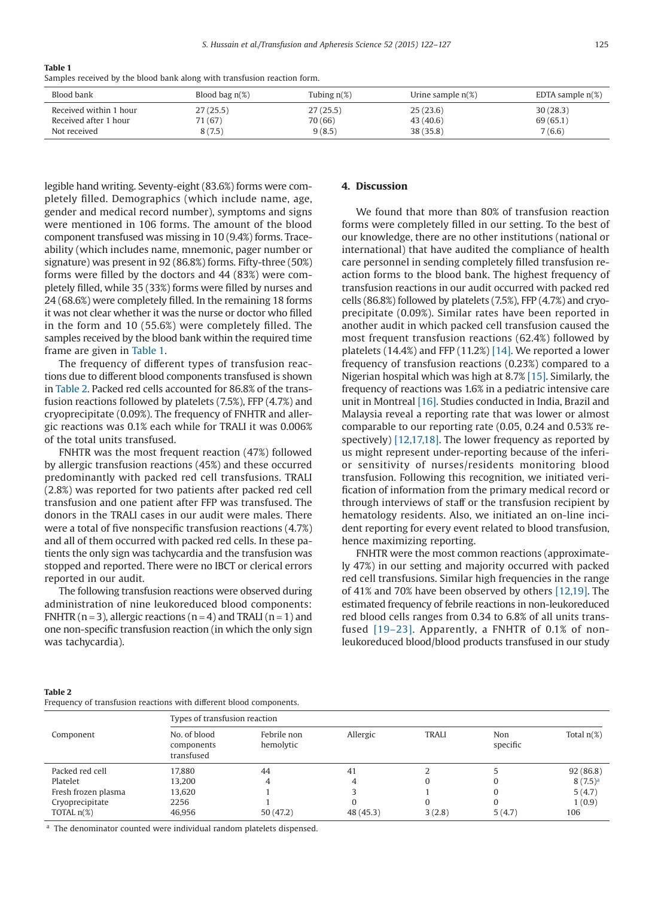<span id="page-3-1"></span>**Table 1**

Samples received by the blood bank along with transfusion reaction form.

| Blood bank                                      | Blood bag $n(\%)$   | Tubing $n(\%)$      | Urine sample $n(\%)$  | EDTA sample $n(\%)$  |
|-------------------------------------------------|---------------------|---------------------|-----------------------|----------------------|
| Received within 1 hour<br>Received after 1 hour | 27(25.5)<br>71 (67) | 27(25.5)<br>70 (66) | 25(23.6)<br>43 (40.6) | 30(28.3)<br>69(65.1) |
| Not received                                    | 8(7.5)              | 9(8.5)              | 38 (35.8)             | 7(6.6)               |

legible hand writing. Seventy-eight (83.6%) forms were completely filled. Demographics (which include name, age, gender and medical record number), symptoms and signs were mentioned in 106 forms. The amount of the blood component transfused was missing in 10 (9.4%) forms. Traceability (which includes name, mnemonic, pager number or signature) was present in 92 (86.8%) forms. Fifty-three (50%) forms were filled by the doctors and 44 (83%) were completely filled, while 35 (33%) forms were filled by nurses and 24 (68.6%) were completely filled. In the remaining 18 forms it was not clear whether it was the nurse or doctor who filled in the form and 10 (55.6%) were completely filled. The samples received by the blood bank within the required time frame are given in Table 1.

The frequency of different types of transfusion reactions due to different blood components transfused is shown in Table 2. Packed red cells accounted for 86.8% of the transfusion reactions followed by platelets (7.5%), FFP (4.7%) and cryoprecipitate (0.09%). The frequency of FNHTR and allergic reactions was 0.1% each while for TRALI it was 0.006% of the total units transfused.

FNHTR was the most frequent reaction (47%) followed by allergic transfusion reactions (45%) and these occurred predominantly with packed red cell transfusions. TRALI (2.8%) was reported for two patients after packed red cell transfusion and one patient after FFP was transfused. The donors in the TRALI cases in our audit were males. There were a total of five nonspecific transfusion reactions (4.7%) and all of them occurred with packed red cells. In these patients the only sign was tachycardia and the transfusion was stopped and reported. There were no IBCT or clerical errors reported in our audit.

The following transfusion reactions were observed during administration of nine leukoreduced blood components: FNHTR ( $n = 3$ ), allergic reactions ( $n = 4$ ) and TRALI ( $n = 1$ ) and one non-specific transfusion reaction (in which the only sign was tachycardia).

## **4. Discussion**

We found that more than 80% of transfusion reaction forms were completely filled in our setting. To the best of our knowledge, there are no other institutions (national or international) that have audited the compliance of health care personnel in sending completely filled transfusion reaction forms to the blood bank. The highest frequency of transfusion reactions in our audit occurred with packed red cells (86.8%) followed by platelets (7.5%), FFP (4.7%) and cryoprecipitate (0.09%). Similar rates have been reported in another audit in which packed cell transfusion caused the most frequent transfusion reactions (62.4%) followed by platelets (14.4%) and FFP (11.2%) [\[14\].](#page-5-11) We reported a lower frequency of transfusion reactions (0.23%) compared to a Nigerian hospital which was high at 8.7% [\[15\].](#page-5-12) Similarly, the frequency of reactions was 1.6% in a pediatric intensive care unit in Montreal [\[16\].](#page-5-13) Studies conducted in India, Brazil and Malaysia reveal a reporting rate that was lower or almost comparable to our reporting rate (0.05, 0.24 and 0.53% respectively) [\[12,17,18\].](#page-5-9) The lower frequency as reported by us might represent under-reporting because of the inferior sensitivity of nurses/residents monitoring blood transfusion. Following this recognition, we initiated verification of information from the primary medical record or through interviews of staff or the transfusion recipient by hematology residents. Also, we initiated an on-line incident reporting for every event related to blood transfusion, hence maximizing reporting.

FNHTR were the most common reactions (approximately 47%) in our setting and majority occurred with packed red cell transfusions. Similar high frequencies in the range of 41% and 70% have been observed by others [\[12,19\].](#page-5-9) The estimated frequency of febrile reactions in non-leukoreduced red blood cells ranges from 0.34 to 6.8% of all units transfused [\[19–23\].](#page-5-14) Apparently, a FNHTR of 0.1% of nonleukoreduced blood/blood products transfused in our study

| Table 2                                                             |  |  |  |  |
|---------------------------------------------------------------------|--|--|--|--|
| Frequency of transfusion reactions with different blood components. |  |  |  |  |

|                     | Types of transfusion reaction            |                          |          |              |                 |               |  |
|---------------------|------------------------------------------|--------------------------|----------|--------------|-----------------|---------------|--|
| Component           | No. of blood<br>components<br>transfused | Febrile non<br>hemolytic | Allergic | <b>TRALI</b> | Non<br>specific | Total $n(\%)$ |  |
| Packed red cell     | 17.880                                   | 44                       | 41       |              |                 | 92(86.8)      |  |
| Platelet            | 13.200                                   |                          |          |              | 0               | $8(7.5)^{a}$  |  |
| Fresh frozen plasma | 13.620                                   |                          |          |              | 0               | 5(4.7)        |  |
| Cryoprecipitate     | 2256                                     |                          |          |              | $\Omega$        | 1(0.9)        |  |
| TOTAL $n(\%)$       | 46.956                                   | 50(47.2)                 | 48(45.3) | 3(2.8)       | 5(4.7)          | 106           |  |

<span id="page-3-0"></span><sup>a</sup> The denominator counted were individual random platelets dispensed.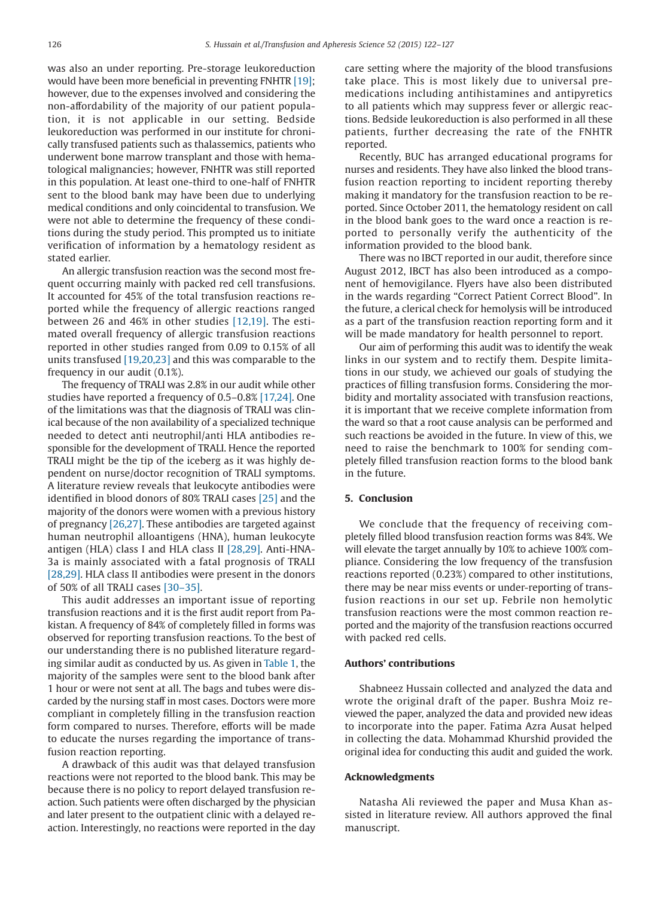was also an under reporting. Pre-storage leukoreduction would have been more beneficial in preventing FNHTR [\[19\];](#page-5-14) however, due to the expenses involved and considering the non-affordability of the majority of our patient population, it is not applicable in our setting. Bedside leukoreduction was performed in our institute for chronically transfused patients such as thalassemics, patients who underwent bone marrow transplant and those with hematological malignancies; however, FNHTR was still reported in this population. At least one-third to one-half of FNHTR sent to the blood bank may have been due to underlying medical conditions and only coincidental to transfusion. We were not able to determine the frequency of these conditions during the study period. This prompted us to initiate verification of information by a hematology resident as stated earlier.

An allergic transfusion reaction was the second most frequent occurring mainly with packed red cell transfusions. It accounted for 45% of the total transfusion reactions reported while the frequency of allergic reactions ranged between 26 and 46% in other studies [\[12,19\].](#page-5-9) The estimated overall frequency of allergic transfusion reactions reported in other studies ranged from 0.09 to 0.15% of all units transfused [\[19,20,23\]](#page-5-14) and this was comparable to the frequency in our audit (0.1%).

The frequency of TRALI was 2.8% in our audit while other studies have reported a frequency of 0.5–0.8% [\[17,24\].](#page-5-15) One of the limitations was that the diagnosis of TRALI was clinical because of the non availability of a specialized technique needed to detect anti neutrophil/anti HLA antibodies responsible for the development of TRALI. Hence the reported TRALI might be the tip of the iceberg as it was highly dependent on nurse/doctor recognition of TRALI symptoms. A literature review reveals that leukocyte antibodies were identified in blood donors of 80% TRALI cases [\[25\]](#page-5-16) and the majority of the donors were women with a previous history of pregnancy [\[26,27\].](#page-5-17) These antibodies are targeted against human neutrophil alloantigens (HNA), human leukocyte antigen (HLA) class I and HLA class II [\[28,29\].](#page-5-18) Anti-HNA-3a is mainly associated with a fatal prognosis of TRALI [\[28,29\].](#page-5-18) HLA class II antibodies were present in the donors of 50% of all TRALI cases [\[30–35\].](#page-5-19)

This audit addresses an important issue of reporting transfusion reactions and it is the first audit report from Pakistan. A frequency of 84% of completely filled in forms was observed for reporting transfusion reactions. To the best of our understanding there is no published literature regarding similar audit as conducted by us. As given in [Table 1,](#page-3-1) the majority of the samples were sent to the blood bank after 1 hour or were not sent at all. The bags and tubes were discarded by the nursing staff in most cases. Doctors were more compliant in completely filling in the transfusion reaction form compared to nurses. Therefore, efforts will be made to educate the nurses regarding the importance of transfusion reaction reporting.

A drawback of this audit was that delayed transfusion reactions were not reported to the blood bank. This may be because there is no policy to report delayed transfusion reaction. Such patients were often discharged by the physician and later present to the outpatient clinic with a delayed reaction. Interestingly, no reactions were reported in the day care setting where the majority of the blood transfusions take place. This is most likely due to universal premedications including antihistamines and antipyretics to all patients which may suppress fever or allergic reactions. Bedside leukoreduction is also performed in all these patients, further decreasing the rate of the FNHTR reported.

Recently, BUC has arranged educational programs for nurses and residents. They have also linked the blood transfusion reaction reporting to incident reporting thereby making it mandatory for the transfusion reaction to be reported. Since October 2011, the hematology resident on call in the blood bank goes to the ward once a reaction is reported to personally verify the authenticity of the information provided to the blood bank.

There was no IBCT reported in our audit, therefore since August 2012, IBCT has also been introduced as a component of hemovigilance. Flyers have also been distributed in the wards regarding "Correct Patient Correct Blood". In the future, a clerical check for hemolysis will be introduced as a part of the transfusion reaction reporting form and it will be made mandatory for health personnel to report.

Our aim of performing this audit was to identify the weak links in our system and to rectify them. Despite limitations in our study, we achieved our goals of studying the practices of filling transfusion forms. Considering the morbidity and mortality associated with transfusion reactions, it is important that we receive complete information from the ward so that a root cause analysis can be performed and such reactions be avoided in the future. In view of this, we need to raise the benchmark to 100% for sending completely filled transfusion reaction forms to the blood bank in the future.

## **5. Conclusion**

We conclude that the frequency of receiving completely filled blood transfusion reaction forms was 84%. We will elevate the target annually by 10% to achieve 100% compliance. Considering the low frequency of the transfusion reactions reported (0.23%) compared to other institutions, there may be near miss events or under-reporting of transfusion reactions in our set up. Febrile non hemolytic transfusion reactions were the most common reaction reported and the majority of the transfusion reactions occurred with packed red cells.

## **Authors' contributions**

Shabneez Hussain collected and analyzed the data and wrote the original draft of the paper. Bushra Moiz reviewed the paper, analyzed the data and provided new ideas to incorporate into the paper. Fatima Azra Ausat helped in collecting the data. Mohammad Khurshid provided the original idea for conducting this audit and guided the work.

#### **Acknowledgments**

Natasha Ali reviewed the paper and Musa Khan assisted in literature review. All authors approved the final manuscript.